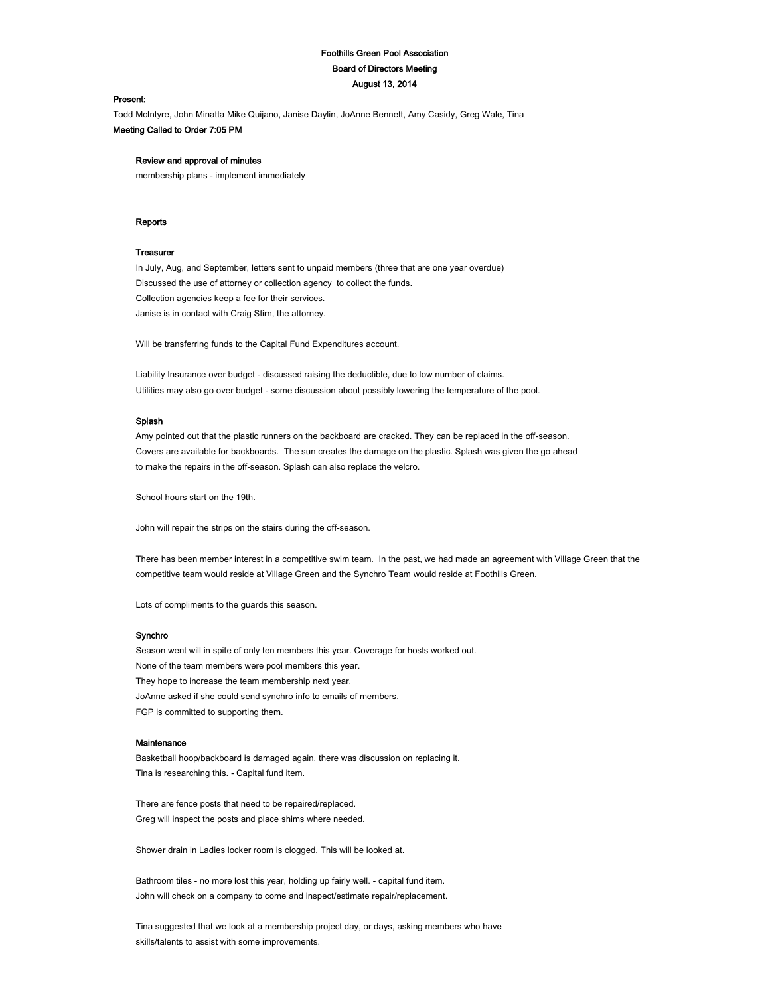# Foothills Green Pool Association Board of Directors Meeting August 13, 2014

#### Present:

Todd McIntyre, John Minatta Mike Quijano, Janise Daylin, JoAnne Bennett, Amy Casidy, Greg Wale, Tina Meeting Called to Order 7:05 PM

### Review and approval of minutes

membership plans - implement immediately

#### **Reports**

### Treasurer

In July, Aug, and September, letters sent to unpaid members (three that are one year overdue) Discussed the use of attorney or collection agency to collect the funds. Collection agencies keep a fee for their services. Janise is in contact with Craig Stirn, the attorney.

Will be transferring funds to the Capital Fund Expenditures account.

Liability Insurance over budget - discussed raising the deductible, due to low number of claims. Utilities may also go over budget - some discussion about possibly lowering the temperature of the pool.

### Splash

Amy pointed out that the plastic runners on the backboard are cracked. They can be replaced in the off-season. Covers are available for backboards. The sun creates the damage on the plastic. Splash was given the go ahead to make the repairs in the off-season. Splash can also replace the velcro.

School hours start on the 19th.

John will repair the strips on the stairs during the off-season.

There has been member interest in a competitive swim team. In the past, we had made an agreement with Village Green that the competitive team would reside at Village Green and the Synchro Team would reside at Foothills Green.

Lots of compliments to the guards this season.

#### Synchro

Season went will in spite of only ten members this year. Coverage for hosts worked out. None of the team members were pool members this year. They hope to increase the team membership next year. JoAnne asked if she could send synchro info to emails of members. FGP is committed to supporting them.

#### Maintenance

Basketball hoop/backboard is damaged again, there was discussion on replacing it. Tina is researching this. - Capital fund item.

There are fence posts that need to be repaired/replaced. Greg will inspect the posts and place shims where needed.

Shower drain in Ladies locker room is clogged. This will be looked at.

Bathroom tiles - no more lost this year, holding up fairly well. - capital fund item. John will check on a company to come and inspect/estimate repair/replacement.

Tina suggested that we look at a membership project day, or days, asking members who have skills/talents to assist with some improvements.